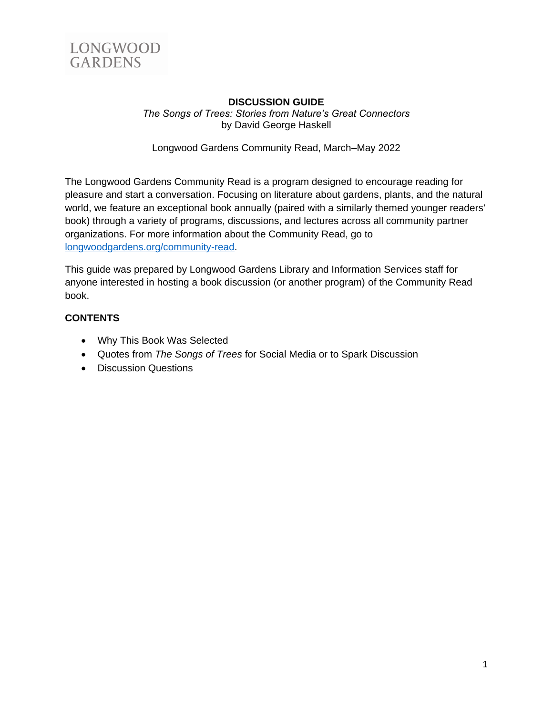

### **DISCUSSION GUIDE** *The Songs of Trees: Stories from Nature's Great Connectors* by David George Haskell

Longwood Gardens Community Read, March–May 2022

The Longwood Gardens Community Read is a program designed to encourage reading for pleasure and start a conversation. Focusing on literature about gardens, plants, and the natural world, we feature an exceptional book annually (paired with a similarly themed younger readers' book) through a variety of programs, discussions, and lectures across all community partner organizations. For more information about the Community Read, go to [longwoodgardens.org/community-read.](http://www.longwoodgardens.org/community-read)

This guide was prepared by Longwood Gardens Library and Information Services staff for anyone interested in hosting a book discussion (or another program) of the Community Read book.

# **CONTENTS**

- Why This Book Was Selected
- Quotes from *The Songs of Trees* for Social Media or to Spark Discussion
- Discussion Questions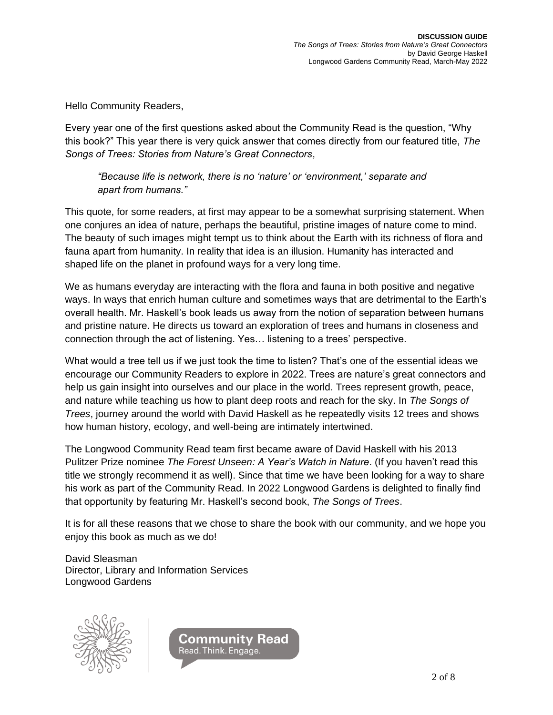Hello Community Readers,

Every year one of the first questions asked about the Community Read is the question, "Why this book?" This year there is very quick answer that comes directly from our featured title, *The Songs of Trees: Stories from Nature's Great Connectors*,

*"Because life is network, there is no 'nature' or 'environment,' separate and apart from humans."*

This quote, for some readers, at first may appear to be a somewhat surprising statement. When one conjures an idea of nature, perhaps the beautiful, pristine images of nature come to mind. The beauty of such images might tempt us to think about the Earth with its richness of flora and fauna apart from humanity. In reality that idea is an illusion. Humanity has interacted and shaped life on the planet in profound ways for a very long time.

We as humans everyday are interacting with the flora and fauna in both positive and negative ways. In ways that enrich human culture and sometimes ways that are detrimental to the Earth's overall health. Mr. Haskell's book leads us away from the notion of separation between humans and pristine nature. He directs us toward an exploration of trees and humans in closeness and connection through the act of listening. Yes… listening to a trees' perspective.

What would a tree tell us if we just took the time to listen? That's one of the essential ideas we encourage our Community Readers to explore in 2022. Trees are nature's great connectors and help us gain insight into ourselves and our place in the world. Trees represent growth, peace, and nature while teaching us how to plant deep roots and reach for the sky. In *The Songs of Trees*, journey around the world with David Haskell as he repeatedly visits 12 trees and shows how human history, ecology, and well-being are intimately intertwined.

The Longwood Community Read team first became aware of David Haskell with his 2013 Pulitzer Prize nominee *The Forest Unseen: A Year's Watch in Nature*. (If you haven't read this title we strongly recommend it as well). Since that time we have been looking for a way to share his work as part of the Community Read. In 2022 Longwood Gardens is delighted to finally find that opportunity by featuring Mr. Haskell's second book, *The Songs of Trees*.

It is for all these reasons that we chose to share the book with our community, and we hope you enjoy this book as much as we do!

David Sleasman Director, Library and Information Services Longwood Gardens



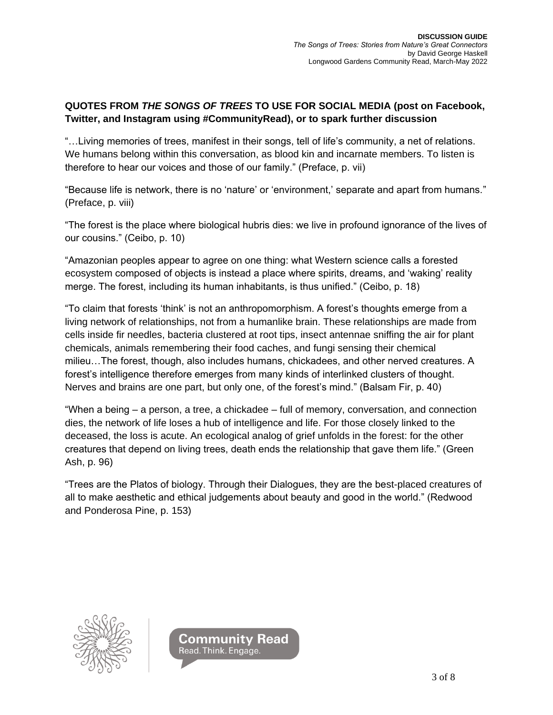# **QUOTES FROM** *THE SONGS OF TREES* **TO USE FOR SOCIAL MEDIA (post on Facebook, Twitter, and Instagram using #CommunityRead), or to spark further discussion**

"…Living memories of trees, manifest in their songs, tell of life's community, a net of relations. We humans belong within this conversation, as blood kin and incarnate members. To listen is therefore to hear our voices and those of our family." (Preface, p. vii)

"Because life is network, there is no 'nature' or 'environment,' separate and apart from humans." (Preface, p. viii)

"The forest is the place where biological hubris dies: we live in profound ignorance of the lives of our cousins." (Ceibo, p. 10)

"Amazonian peoples appear to agree on one thing: what Western science calls a forested ecosystem composed of objects is instead a place where spirits, dreams, and 'waking' reality merge. The forest, including its human inhabitants, is thus unified." (Ceibo, p. 18)

"To claim that forests 'think' is not an anthropomorphism. A forest's thoughts emerge from a living network of relationships, not from a humanlike brain. These relationships are made from cells inside fir needles, bacteria clustered at root tips, insect antennae sniffing the air for plant chemicals, animals remembering their food caches, and fungi sensing their chemical milieu…The forest, though, also includes humans, chickadees, and other nerved creatures. A forest's intelligence therefore emerges from many kinds of interlinked clusters of thought. Nerves and brains are one part, but only one, of the forest's mind." (Balsam Fir, p. 40)

"When a being – a person, a tree, a chickadee – full of memory, conversation, and connection dies, the network of life loses a hub of intelligence and life. For those closely linked to the deceased, the loss is acute. An ecological analog of grief unfolds in the forest: for the other creatures that depend on living trees, death ends the relationship that gave them life." (Green Ash, p. 96)

"Trees are the Platos of biology. Through their Dialogues, they are the best-placed creatures of all to make aesthetic and ethical judgements about beauty and good in the world." (Redwood and Ponderosa Pine, p. 153)



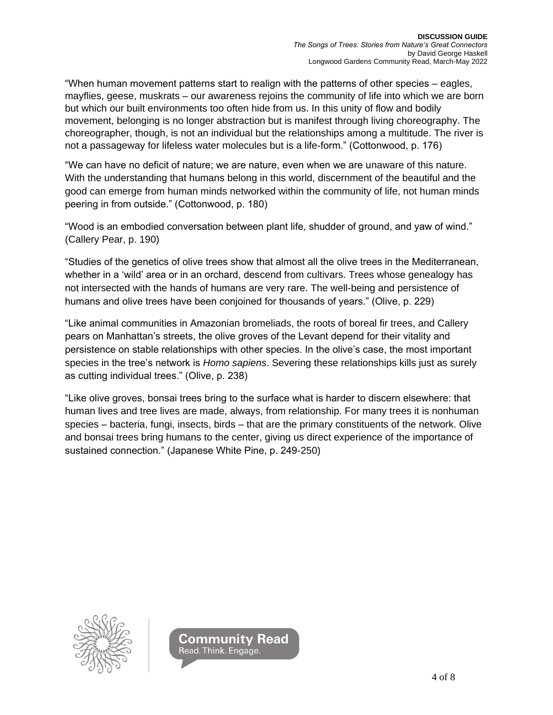"When human movement patterns start to realign with the patterns of other species – eagles, mayflies, geese, muskrats – our awareness rejoins the community of life into which we are born but which our built environments too often hide from us. In this unity of flow and bodily movement, belonging is no longer abstraction but is manifest through living choreography. The choreographer, though, is not an individual but the relationships among a multitude. The river is not a passageway for lifeless water molecules but is a life-form." (Cottonwood, p. 176)

"We can have no deficit of nature; we are nature, even when we are unaware of this nature. With the understanding that humans belong in this world, discernment of the beautiful and the good can emerge from human minds networked within the community of life, not human minds peering in from outside." (Cottonwood, p. 180)

"Wood is an embodied conversation between plant life, shudder of ground, and yaw of wind." (Callery Pear, p. 190)

"Studies of the genetics of olive trees show that almost all the olive trees in the Mediterranean, whether in a 'wild' area or in an orchard, descend from cultivars. Trees whose genealogy has not intersected with the hands of humans are very rare. The well-being and persistence of humans and olive trees have been conjoined for thousands of years." (Olive, p. 229)

"Like animal communities in Amazonian bromeliads, the roots of boreal fir trees, and Callery pears on Manhattan's streets, the olive groves of the Levant depend for their vitality and persistence on stable relationships with other species. In the olive's case, the most important species in the tree's network is *Homo sapiens*. Severing these relationships kills just as surely as cutting individual trees." (Olive, p. 238)

"Like olive groves, bonsai trees bring to the surface what is harder to discern elsewhere: that human lives and tree lives are made, always, from relationship. For many trees it is nonhuman species – bacteria, fungi, insects, birds – that are the primary constituents of the network. Olive and bonsai trees bring humans to the center, giving us direct experience of the importance of sustained connection." (Japanese White Pine, p. 249-250)



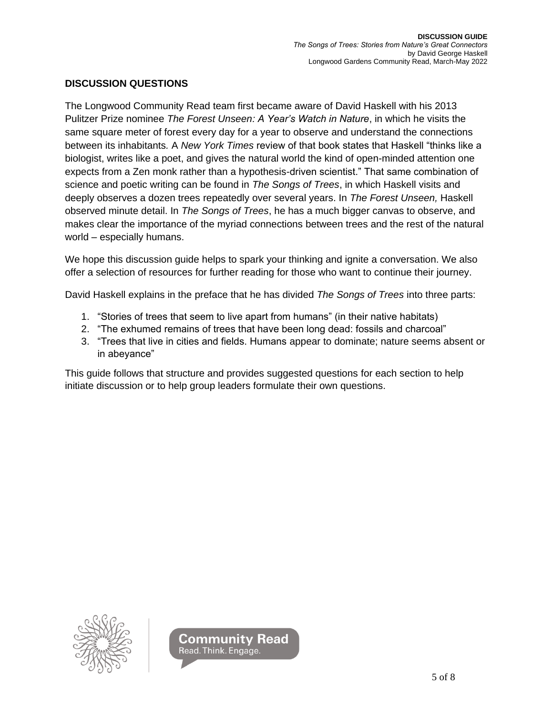## **DISCUSSION QUESTIONS**

The Longwood Community Read team first became aware of David Haskell with his 2013 Pulitzer Prize nominee *The Forest Unseen: A Year's Watch in Nature*, in which he visits the same square meter of forest every day for a year to observe and understand the connections between its inhabitants*.* A *New York Times* review of that book states that Haskell "thinks like a biologist, writes like a poet, and gives the natural world the kind of open-minded attention one expects from a Zen monk rather than a hypothesis-driven scientist." That same combination of science and poetic writing can be found in *The Songs of Trees*, in which Haskell visits and deeply observes a dozen trees repeatedly over several years. In *The Forest Unseen,* Haskell observed minute detail. In *The Songs of Trees*, he has a much bigger canvas to observe, and makes clear the importance of the myriad connections between trees and the rest of the natural world – especially humans.

We hope this discussion guide helps to spark your thinking and ignite a conversation. We also offer a selection of resources for further reading for those who want to continue their journey.

David Haskell explains in the preface that he has divided *The Songs of Trees* into three parts:

- 1. "Stories of trees that seem to live apart from humans" (in their native habitats)
- 2. "The exhumed remains of trees that have been long dead: fossils and charcoal"
- 3. "Trees that live in cities and fields. Humans appear to dominate; nature seems absent or in abeyance"

This guide follows that structure and provides suggested questions for each section to help initiate discussion or to help group leaders formulate their own questions.



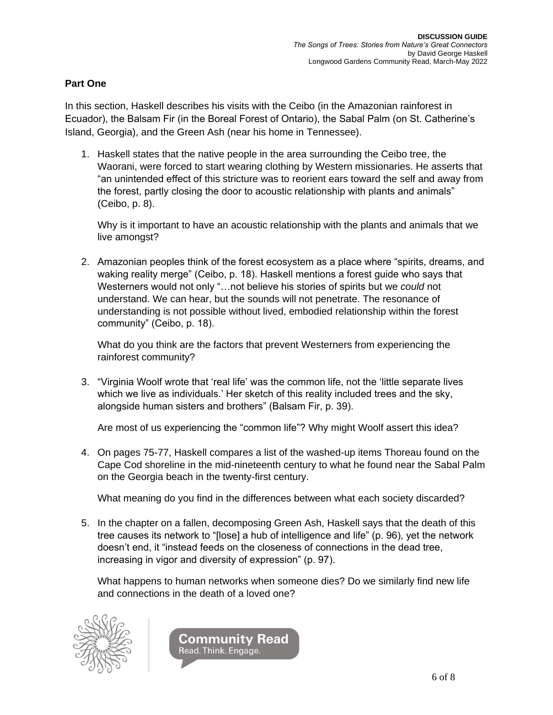## **Part One**

In this section, Haskell describes his visits with the Ceibo (in the Amazonian rainforest in Ecuador), the Balsam Fir (in the Boreal Forest of Ontario), the Sabal Palm (on St. Catherine's Island, Georgia), and the Green Ash (near his home in Tennessee).

1. Haskell states that the native people in the area surrounding the Ceibo tree, the Waorani, were forced to start wearing clothing by Western missionaries. He asserts that "an unintended effect of this stricture was to reorient ears toward the self and away from the forest, partly closing the door to acoustic relationship with plants and animals" (Ceibo, p. 8).

Why is it important to have an acoustic relationship with the plants and animals that we live amongst?

2. Amazonian peoples think of the forest ecosystem as a place where "spirits, dreams, and waking reality merge" (Ceibo, p. 18). Haskell mentions a forest guide who says that Westerners would not only "…not believe his stories of spirits but we *could* not understand. We can hear, but the sounds will not penetrate. The resonance of understanding is not possible without lived, embodied relationship within the forest community" (Ceibo, p. 18).

What do you think are the factors that prevent Westerners from experiencing the rainforest community?

3. "Virginia Woolf wrote that 'real life' was the common life, not the 'little separate lives which we live as individuals.' Her sketch of this reality included trees and the sky, alongside human sisters and brothers" (Balsam Fir, p. 39).

Are most of us experiencing the "common life"? Why might Woolf assert this idea?

4. On pages 75-77, Haskell compares a list of the washed-up items Thoreau found on the Cape Cod shoreline in the mid-nineteenth century to what he found near the Sabal Palm on the Georgia beach in the twenty-first century.

What meaning do you find in the differences between what each society discarded?

5. In the chapter on a fallen, decomposing Green Ash, Haskell says that the death of this tree causes its network to "[lose] a hub of intelligence and life" (p. 96), yet the network doesn't end, it "instead feeds on the closeness of connections in the dead tree, increasing in vigor and diversity of expression" (p. 97).

What happens to human networks when someone dies? Do we similarly find new life and connections in the death of a loved one?



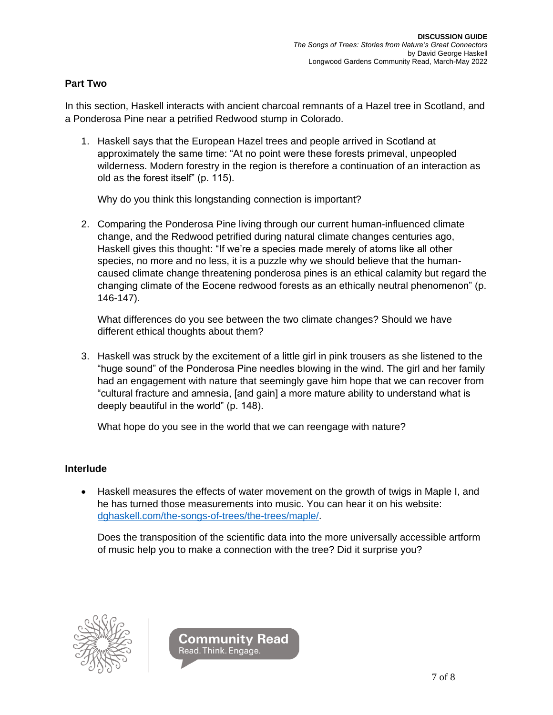## **Part Two**

In this section, Haskell interacts with ancient charcoal remnants of a Hazel tree in Scotland, and a Ponderosa Pine near a petrified Redwood stump in Colorado.

1. Haskell says that the European Hazel trees and people arrived in Scotland at approximately the same time: "At no point were these forests primeval, unpeopled wilderness. Modern forestry in the region is therefore a continuation of an interaction as old as the forest itself" (p. 115).

Why do you think this longstanding connection is important?

2. Comparing the Ponderosa Pine living through our current human-influenced climate change, and the Redwood petrified during natural climate changes centuries ago, Haskell gives this thought: "If we're a species made merely of atoms like all other species, no more and no less, it is a puzzle why we should believe that the humancaused climate change threatening ponderosa pines is an ethical calamity but regard the changing climate of the Eocene redwood forests as an ethically neutral phenomenon" (p. 146-147).

What differences do you see between the two climate changes? Should we have different ethical thoughts about them?

3. Haskell was struck by the excitement of a little girl in pink trousers as she listened to the "huge sound" of the Ponderosa Pine needles blowing in the wind. The girl and her family had an engagement with nature that seemingly gave him hope that we can recover from "cultural fracture and amnesia, [and gain] a more mature ability to understand what is deeply beautiful in the world" (p. 148).

What hope do you see in the world that we can reengage with nature?

### **Interlude**

• Haskell measures the effects of water movement on the growth of twigs in Maple I, and he has turned those measurements into music. You can hear it on his website: [dghaskell.com/the-songs-of-trees/the-trees/maple/.](https://dghaskell.com/the-songs-of-trees/the-trees/maple/)

Does the transposition of the scientific data into the more universally accessible artform of music help you to make a connection with the tree? Did it surprise you?